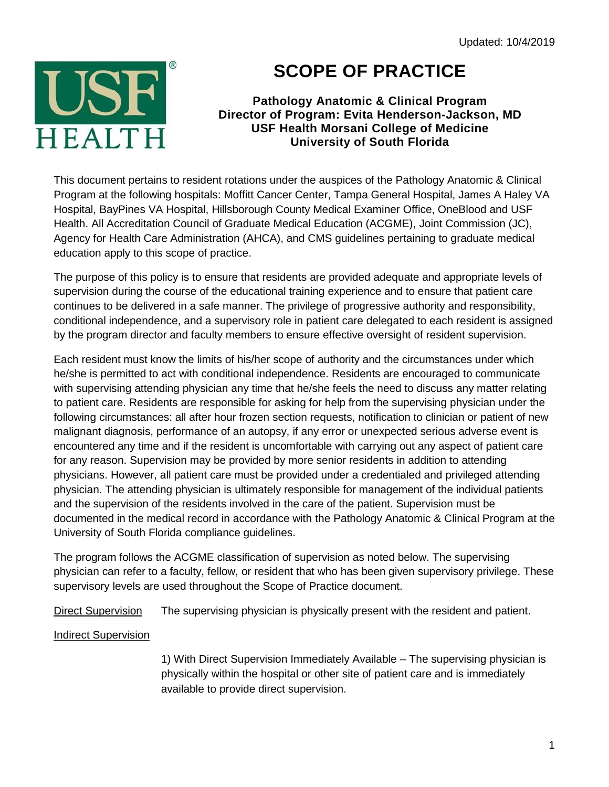

## **SCOPE OF PRACTICE**

## **Pathology Anatomic & Clinical Program Director of Program: Evita Henderson-Jackson, MD USF Health Morsani College of Medicine University of South Florida**

This document pertains to resident rotations under the auspices of the Pathology Anatomic & Clinical Program at the following hospitals: Moffitt Cancer Center, Tampa General Hospital, James A Haley VA Hospital, BayPines VA Hospital, Hillsborough County Medical Examiner Office, OneBlood and USF Health. All Accreditation Council of Graduate Medical Education (ACGME), Joint Commission (JC), Agency for Health Care Administration (AHCA), and CMS guidelines pertaining to graduate medical education apply to this scope of practice.

The purpose of this policy is to ensure that residents are provided adequate and appropriate levels of supervision during the course of the educational training experience and to ensure that patient care continues to be delivered in a safe manner. The privilege of progressive authority and responsibility, conditional independence, and a supervisory role in patient care delegated to each resident is assigned by the program director and faculty members to ensure effective oversight of resident supervision.

Each resident must know the limits of his/her scope of authority and the circumstances under which he/she is permitted to act with conditional independence. Residents are encouraged to communicate with supervising attending physician any time that he/she feels the need to discuss any matter relating to patient care. Residents are responsible for asking for help from the supervising physician under the following circumstances: all after hour frozen section requests, notification to clinician or patient of new malignant diagnosis, performance of an autopsy, if any error or unexpected serious adverse event is encountered any time and if the resident is uncomfortable with carrying out any aspect of patient care for any reason. Supervision may be provided by more senior residents in addition to attending physicians. However, all patient care must be provided under a credentialed and privileged attending physician. The attending physician is ultimately responsible for management of the individual patients and the supervision of the residents involved in the care of the patient. Supervision must be documented in the medical record in accordance with the Pathology Anatomic & Clinical Program at the University of South Florida compliance guidelines.

The program follows the ACGME classification of supervision as noted below. The supervising physician can refer to a faculty, fellow, or resident that who has been given supervisory privilege. These supervisory levels are used throughout the Scope of Practice document.

Direct Supervision The supervising physician is physically present with the resident and patient.

## Indirect Supervision

1) With Direct Supervision Immediately Available – The supervising physician is physically within the hospital or other site of patient care and is immediately available to provide direct supervision.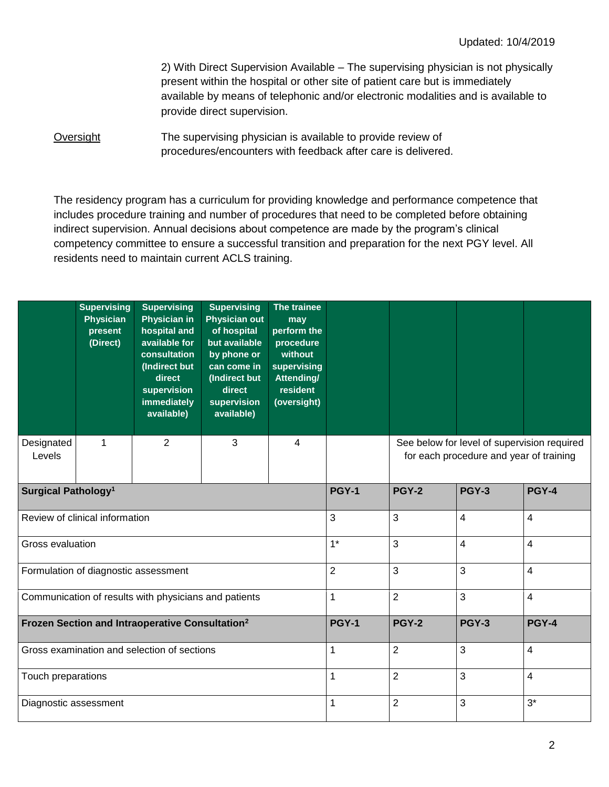2) With Direct Supervision Available – The supervising physician is not physically present within the hospital or other site of patient care but is immediately available by means of telephonic and/or electronic modalities and is available to provide direct supervision.

Oversight The supervising physician is available to provide review of procedures/encounters with feedback after care is delivered.

The residency program has a curriculum for providing knowledge and performance competence that includes procedure training and number of procedures that need to be completed before obtaining indirect supervision. Annual decisions about competence are made by the program's clinical competency committee to ensure a successful transition and preparation for the next PGY level. All residents need to maintain current ACLS training.

|                                                             | <b>Supervising</b><br><b>Physician</b><br>present<br>(Direct) | <b>Supervising</b><br><b>Physician in</b><br>hospital and<br>available for<br>consultation<br>(Indirect but<br>direct<br>supervision<br>immediately<br>available) | <b>Supervising</b><br><b>Physician out</b><br>of hospital<br>but available<br>by phone or<br>can come in<br>(Indirect but<br>direct<br>supervision<br>available) | The trainee<br>may<br>perform the<br>procedure<br>without<br>supervising<br>Attending/<br><b>resident</b><br>(oversight) |                |                                                                                        |              |                |  |
|-------------------------------------------------------------|---------------------------------------------------------------|-------------------------------------------------------------------------------------------------------------------------------------------------------------------|------------------------------------------------------------------------------------------------------------------------------------------------------------------|--------------------------------------------------------------------------------------------------------------------------|----------------|----------------------------------------------------------------------------------------|--------------|----------------|--|
| Designated<br>Levels                                        | 1                                                             | 2                                                                                                                                                                 | 3                                                                                                                                                                | $\overline{4}$                                                                                                           |                | See below for level of supervision required<br>for each procedure and year of training |              |                |  |
| Surgical Pathology <sup>1</sup>                             |                                                               |                                                                                                                                                                   |                                                                                                                                                                  |                                                                                                                          | <b>PGY-1</b>   | <b>PGY-2</b>                                                                           | <b>PGY-3</b> | <b>PGY-4</b>   |  |
| Review of clinical information                              |                                                               |                                                                                                                                                                   |                                                                                                                                                                  |                                                                                                                          | 3              | 3                                                                                      | 4            | $\overline{4}$ |  |
| Gross evaluation                                            |                                                               |                                                                                                                                                                   |                                                                                                                                                                  |                                                                                                                          | $1*$           | 3                                                                                      | 4            | $\overline{4}$ |  |
| Formulation of diagnostic assessment                        |                                                               |                                                                                                                                                                   |                                                                                                                                                                  |                                                                                                                          | $\overline{2}$ | 3                                                                                      | 3            | $\overline{4}$ |  |
| Communication of results with physicians and patients       |                                                               |                                                                                                                                                                   |                                                                                                                                                                  |                                                                                                                          | 1              | $\overline{2}$                                                                         | 3            | $\overline{4}$ |  |
| Frozen Section and Intraoperative Consultation <sup>2</sup> |                                                               |                                                                                                                                                                   |                                                                                                                                                                  |                                                                                                                          | <b>PGY-1</b>   | <b>PGY-2</b>                                                                           | <b>PGY-3</b> | <b>PGY-4</b>   |  |
| Gross examination and selection of sections                 |                                                               |                                                                                                                                                                   |                                                                                                                                                                  |                                                                                                                          | 1              | $\overline{2}$                                                                         | 3            | $\overline{4}$ |  |
| Touch preparations                                          |                                                               |                                                                                                                                                                   |                                                                                                                                                                  |                                                                                                                          | 1              | $\overline{2}$                                                                         | 3            | $\overline{4}$ |  |
| Diagnostic assessment                                       |                                                               |                                                                                                                                                                   |                                                                                                                                                                  |                                                                                                                          | 1              | $\overline{2}$                                                                         | 3            | $3^*$          |  |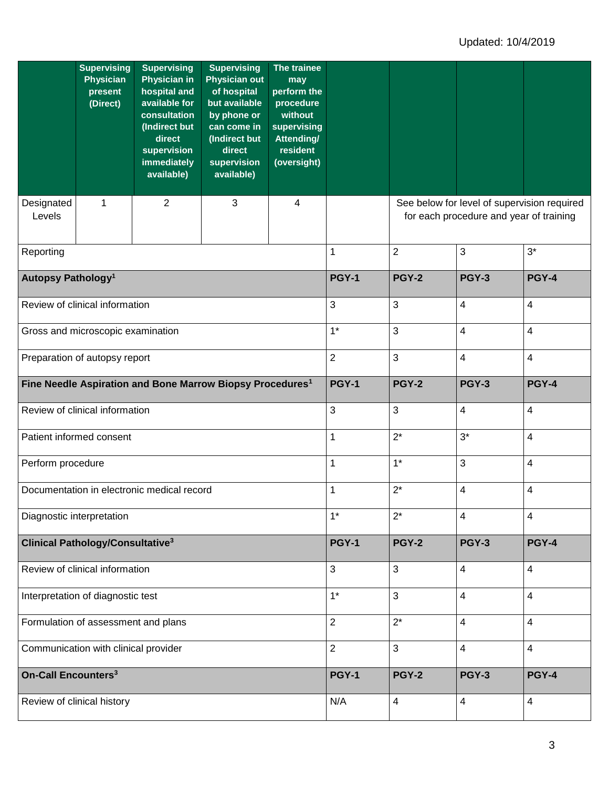|                                                                       | <b>Supervising</b><br><b>Physician</b><br>present<br>(Direct) | <b>Supervising</b><br><b>Physician in</b><br>hospital and<br>available for<br>consultation<br>(Indirect but<br>direct<br>supervision<br>immediately<br>available) | <b>Supervising</b><br><b>Physician out</b><br>of hospital<br>but available<br>by phone or<br>can come in<br>(Indirect but<br>direct<br>supervision<br>available) | The trainee<br>may<br>perform the<br>procedure<br>without<br>supervising<br>Attending/<br>resident<br>(oversight) |                |                                                                                        |                         |                |  |
|-----------------------------------------------------------------------|---------------------------------------------------------------|-------------------------------------------------------------------------------------------------------------------------------------------------------------------|------------------------------------------------------------------------------------------------------------------------------------------------------------------|-------------------------------------------------------------------------------------------------------------------|----------------|----------------------------------------------------------------------------------------|-------------------------|----------------|--|
| Designated<br>Levels                                                  | 1                                                             | $\overline{2}$                                                                                                                                                    | 3                                                                                                                                                                | $\overline{4}$                                                                                                    |                | See below for level of supervision required<br>for each procedure and year of training |                         |                |  |
| Reporting                                                             |                                                               |                                                                                                                                                                   |                                                                                                                                                                  |                                                                                                                   | 1              | $\overline{c}$                                                                         | 3                       | $3*$           |  |
| Autopsy Pathology <sup>1</sup>                                        |                                                               |                                                                                                                                                                   |                                                                                                                                                                  |                                                                                                                   | <b>PGY-1</b>   | <b>PGY-2</b>                                                                           | <b>PGY-3</b>            | <b>PGY-4</b>   |  |
| Review of clinical information                                        |                                                               |                                                                                                                                                                   |                                                                                                                                                                  |                                                                                                                   | 3              | 3                                                                                      | 4                       | $\overline{4}$ |  |
|                                                                       | Gross and microscopic examination                             |                                                                                                                                                                   |                                                                                                                                                                  | $1*$                                                                                                              | $\mathbf{3}$   | 4                                                                                      | 4                       |                |  |
| Preparation of autopsy report                                         |                                                               |                                                                                                                                                                   |                                                                                                                                                                  |                                                                                                                   | $\overline{2}$ | $\mathbf{3}$                                                                           | 4                       | $\overline{4}$ |  |
| Fine Needle Aspiration and Bone Marrow Biopsy Procedures <sup>1</sup> |                                                               |                                                                                                                                                                   |                                                                                                                                                                  |                                                                                                                   | <b>PGY-1</b>   | <b>PGY-2</b>                                                                           | <b>PGY-3</b>            | <b>PGY-4</b>   |  |
| Review of clinical information                                        |                                                               |                                                                                                                                                                   |                                                                                                                                                                  |                                                                                                                   | 3              | 3                                                                                      | 4                       | 4              |  |
| Patient informed consent                                              |                                                               |                                                                                                                                                                   |                                                                                                                                                                  |                                                                                                                   | 1              | $2^*$                                                                                  | $3^*$                   | 4              |  |
| Perform procedure                                                     |                                                               |                                                                                                                                                                   |                                                                                                                                                                  |                                                                                                                   | 1              | $1*$                                                                                   | 3                       | 4              |  |
| Documentation in electronic medical record                            |                                                               |                                                                                                                                                                   |                                                                                                                                                                  |                                                                                                                   | 1              | $2^*$                                                                                  | 4                       | 4              |  |
| Diagnostic interpretation                                             |                                                               |                                                                                                                                                                   |                                                                                                                                                                  |                                                                                                                   | $1*$           | $2^*$                                                                                  | 4                       | 4              |  |
| Clinical Pathology/Consultative <sup>3</sup>                          |                                                               |                                                                                                                                                                   |                                                                                                                                                                  |                                                                                                                   | <b>PGY-1</b>   | <b>PGY-2</b>                                                                           | <b>PGY-3</b>            | <b>PGY-4</b>   |  |
| Review of clinical information                                        |                                                               |                                                                                                                                                                   |                                                                                                                                                                  |                                                                                                                   | 3              | 3                                                                                      | 4                       | $\overline{4}$ |  |
| Interpretation of diagnostic test                                     |                                                               |                                                                                                                                                                   |                                                                                                                                                                  |                                                                                                                   | $1*$           | 3                                                                                      | $\overline{\mathbf{4}}$ | 4              |  |
| Formulation of assessment and plans                                   |                                                               |                                                                                                                                                                   |                                                                                                                                                                  |                                                                                                                   | $\overline{2}$ | $2^*$                                                                                  | 4                       | $\overline{4}$ |  |
| Communication with clinical provider                                  |                                                               |                                                                                                                                                                   |                                                                                                                                                                  |                                                                                                                   | $\overline{2}$ | 3                                                                                      | $\overline{\mathbf{4}}$ | $\overline{4}$ |  |
| <b>On-Call Encounters<sup>3</sup></b>                                 |                                                               |                                                                                                                                                                   |                                                                                                                                                                  |                                                                                                                   | <b>PGY-1</b>   | <b>PGY-2</b>                                                                           | <b>PGY-3</b>            | <b>PGY-4</b>   |  |
| Review of clinical history                                            |                                                               |                                                                                                                                                                   |                                                                                                                                                                  |                                                                                                                   | N/A            | 4                                                                                      | 4                       | $\overline{4}$ |  |